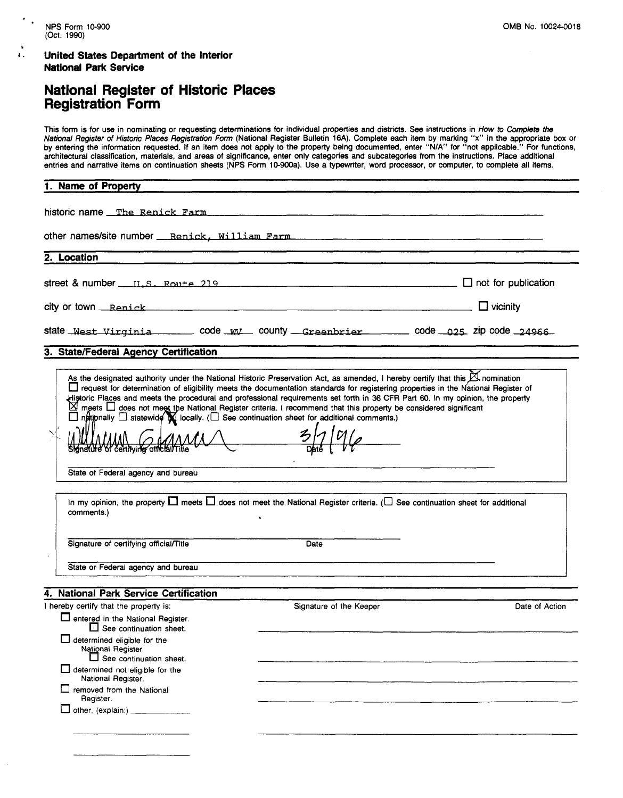#### **4. United States Department of the Interior National Park Service**

### **National Register of Historic Places Registration Form**

This form is for use in nominating or requesting determinations for individual properties and districts. See instructions in How to **Compkte** *the*  National Register of Historic Places Registretion Form (National Register Bulletin **16A).** Complete each item by marking **"x"** in the appropriate box or by entering the information requested. If an item does not apply to the property being documented, enter "NIA" for "not applicable." For functions, architectural classification, materials, and areas of significance, enter only categories and subcategories from the instructions. Place additional entries and narrative items on continuation sheets (NPS Form 10-900a). Use a typewriter, word processor, or computer, to complete all items.

# - **1. Name of Property**

historic name \_The Renick Farm

other names/site number \_\_ Renick, William Farm .................................

- **2. Location** 

street & number  $\mu$ ,  $\mu$ ,  $\mu$ ,  $\mu$ ,  $\mu$ ,  $\mu$ ,  $\mu$ ,  $\mu$ ,  $\mu$ ,  $\mu$ ,  $\mu$ ,  $\mu$ ,  $\mu$ ,  $\mu$ ,  $\mu$ ,  $\mu$ ,  $\mu$ ,  $\mu$ ,  $\mu$ ,  $\mu$ ,  $\mu$ ,  $\mu$ ,  $\mu$ ,  $\mu$ ,  $\mu$ ,  $\mu$ ,  $\mu$ ,  $\mu$ ,  $\mu$ ,  $\mu$ ,  $\mu$ ,  $\mu$ ,  $\mu$ ,  $\mu$ ,  $\$ 

city or town <u>Repick and *Reministration*  $\Box$ </u> Vicinity

|  | state <u>West Virginia (Code Will</u> county <u>Greenbrier (Code 025</u> zip code 24966) |  |
|--|------------------------------------------------------------------------------------------|--|

#### **3. StatelFederal Agency Certification**

| As the designated authority under the National Historic Preservation Act, as amended, I hereby certify that this A nomination<br>request for determination of eligibility meets the documentation standards for registering properties in the National Register of<br>Historic Places and meets the procedural and professional requirements set forth in 36 CFR Part 60. In my opinion, the property<br>⊠<br>meets $\Box$ does not meet the National Register criteria. I recommend that this property be considered significant<br>$\Box$ natipnally $\Box$ statewide $\boxtimes$ locally. ( $\Box$ See continuation sheet for additional comments.)<br>Sidnature of centrying official/Title |
|-------------------------------------------------------------------------------------------------------------------------------------------------------------------------------------------------------------------------------------------------------------------------------------------------------------------------------------------------------------------------------------------------------------------------------------------------------------------------------------------------------------------------------------------------------------------------------------------------------------------------------------------------------------------------------------------------|
| State of Federal agency and bureau                                                                                                                                                                                                                                                                                                                                                                                                                                                                                                                                                                                                                                                              |
| In my opinion, the property $\square$ meets $\square$ does not meet the National Register criteria. ( $\square$ See continuation sheet for additional<br>comments.)                                                                                                                                                                                                                                                                                                                                                                                                                                                                                                                             |
| Signature of certifying official/Title<br>Date                                                                                                                                                                                                                                                                                                                                                                                                                                                                                                                                                                                                                                                  |
| State or Federal agency and bureau                                                                                                                                                                                                                                                                                                                                                                                                                                                                                                                                                                                                                                                              |

#### **4. National Park Service Certification**

| hereby certify that the property is:                                                      | Signature of the Keeper | Date of Action |
|-------------------------------------------------------------------------------------------|-------------------------|----------------|
| netered in the National Register.<br>$\Box$ See continuation sheet.                       |                         |                |
| $\Box$ determined eligible for the<br>National Register<br>$\Box$ See continuation sheet. |                         |                |
| $\Box$ determined not eligible for the<br>National Register.                              |                         |                |
| $\exists$ removed from the National<br>Register.                                          |                         |                |
| $\Box$ other, (explain:) $\Box$                                                           |                         |                |
|                                                                                           |                         |                |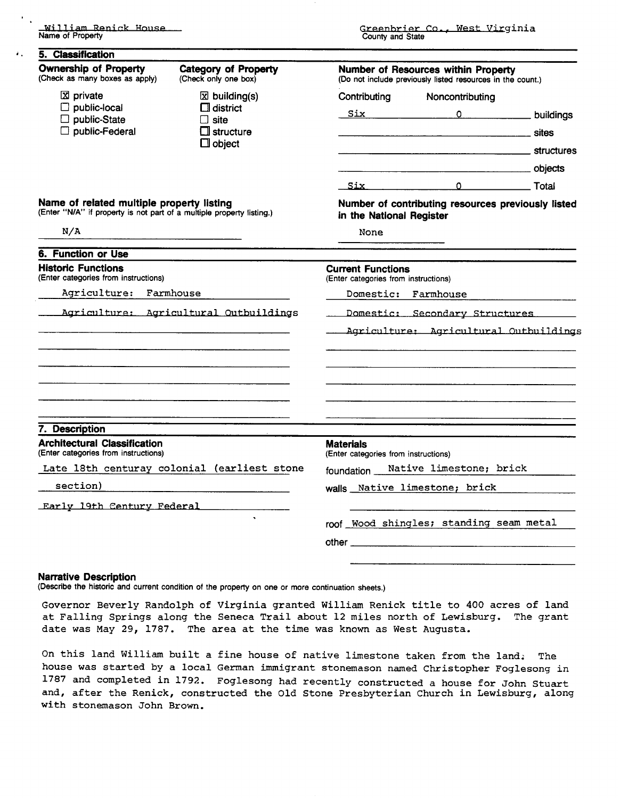| 5. Classification                                                                                                  |                                                     |                                                                                                   |                                                    |  |  |  |
|--------------------------------------------------------------------------------------------------------------------|-----------------------------------------------------|---------------------------------------------------------------------------------------------------|----------------------------------------------------|--|--|--|
| <b>Ownership of Property</b><br>(Check as many boxes as apply)                                                     | <b>Category of Property</b><br>(Check only one box) | Number of Resources within Property<br>(Do not include previously listed resources in the count.) |                                                    |  |  |  |
| X private                                                                                                          | $\boxtimes$ building(s)                             | Contributing                                                                                      | Noncontributing                                    |  |  |  |
| public-local<br>public-State                                                                                       | $\Box$ district<br>$\Box$ site                      |                                                                                                   | Six Duildings                                      |  |  |  |
| public-Federal                                                                                                     | L II structure                                      |                                                                                                   |                                                    |  |  |  |
|                                                                                                                    | $\Box$ object                                       |                                                                                                   |                                                    |  |  |  |
|                                                                                                                    |                                                     |                                                                                                   |                                                    |  |  |  |
|                                                                                                                    |                                                     |                                                                                                   | <u>Six 0</u> Total                                 |  |  |  |
| Name of related multiple property listing<br>(Enter "N/A" if property is not part of a multiple property listing.) |                                                     | in the National Register                                                                          | Number of contributing resources previously listed |  |  |  |
| N/A                                                                                                                |                                                     | None                                                                                              |                                                    |  |  |  |
| 6. Function or Use                                                                                                 |                                                     |                                                                                                   |                                                    |  |  |  |
| <b>Historic Functions</b><br>(Enter categories from instructions)                                                  |                                                     | <b>Current Functions</b><br>(Enter categories from instructions)                                  |                                                    |  |  |  |
| Agriculture: Farmhouse                                                                                             |                                                     | Domestic: Farmhouse                                                                               |                                                    |  |  |  |
| Agriculture: Agricultural Outbuildings                                                                             |                                                     | Domestic: Secondary Structures                                                                    |                                                    |  |  |  |
|                                                                                                                    |                                                     | Agriculture: Agricultural Outbuildings                                                            |                                                    |  |  |  |
|                                                                                                                    |                                                     |                                                                                                   |                                                    |  |  |  |
|                                                                                                                    |                                                     |                                                                                                   |                                                    |  |  |  |
|                                                                                                                    |                                                     |                                                                                                   |                                                    |  |  |  |
| 7. Description<br><b>Architectural Classification</b>                                                              |                                                     | <b>Materials</b>                                                                                  |                                                    |  |  |  |
| (Enter categories from instructions)                                                                               |                                                     | (Enter categories from instructions)                                                              |                                                    |  |  |  |
|                                                                                                                    | Late 18th centuray colonial (earliest stone         | foundation __ Native limestone; brick                                                             |                                                    |  |  |  |
| section)                                                                                                           |                                                     |                                                                                                   | walls Native limestone; brick                      |  |  |  |
| Early 19th Century Federal                                                                                         |                                                     |                                                                                                   |                                                    |  |  |  |
|                                                                                                                    |                                                     |                                                                                                   | roof Wood shingles; standing seam metal            |  |  |  |
|                                                                                                                    |                                                     |                                                                                                   |                                                    |  |  |  |
|                                                                                                                    |                                                     |                                                                                                   |                                                    |  |  |  |

#### **Narrative Description**

(Describe the historic and current condition of the property on one or more continuation sheets.)

Governor Beverly Randolph of Virginia granted William Renick title to 400 acres of land at Falling Springs along the Seneca Trail about 12 miles north of Lewisburg. The grant date was May 29, 1787. The area at the time was known as West Augusta.

On this land William built a fine house of native limestone taken from the land; The house was started by a local German immigrant stonemason named Christopher Foglesong in 1787 and completed in 1792. Foglesong had recently constructed a house for John Stuart and, after the Renick, constructed the Old Stone Presbyterian Church in Lewisburg, along with stonemason John Brown.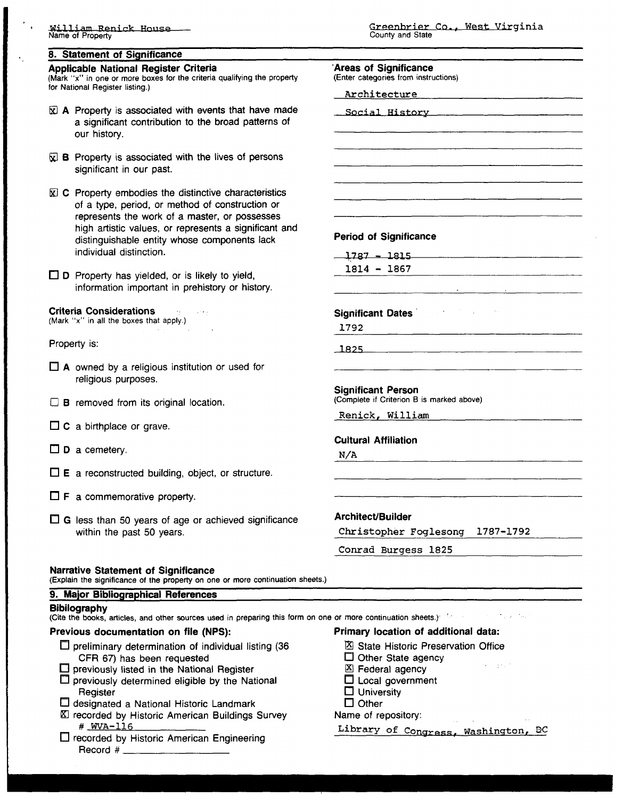#### **8. Statement of Significance**

#### **Applicable National Register Criteria**

(Mark "x" in one or more boxes for the criteria qualifying the pro for National Register listing.)

- $\bar{\mathbb{Z}}$  **A** Property is associated with events that have n a significant contribution to the broad patterns our history.
- $\mathbb{R}$ **B** Property is associated with the lives of person significant in our past.
- **E C** Property embodies the distinctive characteristic of a type, period, or method of construction or represents the work of a master, or possesses high artistic values, or represents a significant distinguishable entity whose components lack individual distinction.
- □ **D** Property has yielded, or is likely to yield, information important in prehistory or history.

#### **Criteria Considerations**

(Mark "x" in all the boxes that apply.)

Property is:

- **A** owned by a religious institution or used for religious purposes.
- **B** removed from its original location.
- □ **C** a birthplace or grave.
- $\square$  **D** a cemetery.
- $\square$  **E** a reconstructed building, object, or structure.
- $\Box$  **F** a commemorative property.
- $\Box$  **G** less than 50 years of age or achieved significance within the past 50 years.

|                 | 'Areas of Significance                                                                                                                           |
|-----------------|--------------------------------------------------------------------------------------------------------------------------------------------------|
| operty          | (Enter categories from instructions)                                                                                                             |
|                 | Architecture expression and the set of the set of the set of the set of the set of the set of the set of the s                                   |
| nade<br>⊦ of    | Social History Manuel Manuel Manuel Manuel Manuel Manuel Manuel Manuel Manuel Manuel Manuel Manuel Manuel Manuel Ma                              |
|                 |                                                                                                                                                  |
|                 |                                                                                                                                                  |
| ıS              |                                                                                                                                                  |
|                 |                                                                                                                                                  |
| СS              |                                                                                                                                                  |
|                 |                                                                                                                                                  |
| s               |                                                                                                                                                  |
| and             | <b>Period of Significance</b>                                                                                                                    |
|                 | $1787 - 1815$                                                                                                                                    |
|                 | $1814 - 1867$                                                                                                                                    |
|                 |                                                                                                                                                  |
|                 |                                                                                                                                                  |
|                 | $\mathcal{L}^{\mathcal{L}}$ , where $\mathcal{L}^{\mathcal{L}}$ is the properties of the $\mathcal{L}^{\mathcal{L}}$<br><b>Significant Dates</b> |
|                 | 1792                                                                                                                                             |
|                 |                                                                                                                                                  |
|                 | <u> 1825 -</u><br><u> 1980 - Jan James James Barnett, amerikan bisa di sebagai pertama di sebagai pertama di sebagai pertama di seba</u>         |
|                 |                                                                                                                                                  |
|                 | <b>Significant Person</b><br>(Complete if Criterion B is marked above)                                                                           |
|                 | Renick, William                                                                                                                                  |
|                 |                                                                                                                                                  |
|                 | <b>Cultural Affiliation</b>                                                                                                                      |
|                 | N/A                                                                                                                                              |
|                 |                                                                                                                                                  |
|                 |                                                                                                                                                  |
|                 |                                                                                                                                                  |
|                 | Architect/Builder                                                                                                                                |
| ance            | Christopher Foglesong 1787-1792                                                                                                                  |
|                 |                                                                                                                                                  |
|                 | Conrad Burgess 1825                                                                                                                              |
|                 |                                                                                                                                                  |
| uation sheets.) |                                                                                                                                                  |
|                 |                                                                                                                                                  |
|                 | his form on one or more continuation sheets.) The contract the contract of                                                                       |
|                 | Primary location of additional data:                                                                                                             |
| 36              | ⊠ State Historic Preservation Office                                                                                                             |
|                 | $\Box$ Other State agency                                                                                                                        |
|                 | 化二乙基乙二乙<br>$X \nvert$ Eadaral agapcy                                                                                                             |

#### **Narrative Statement of Significance**

(Explain the significance of the property on one or more continu

#### **9. Major Bibliographical References**

#### **Bibilography**

(Cite the books, articles, and other sources used in preparing th

#### **Previous documentation on file (NPS):**

- $\square$  preliminary determination of individual listing ( CFR 67) has been requested
- $\Box$  previously listed in the National Register
- $\square$  previously determined eligible by the National **Register**
- $\square$  designated a National Historic Landmark
- recorded by Historic American Buildings Survey # **WVA-116**
- recorded by Historic American Engineering Record  $#_$
- **Federal agency**
- □ Local government
- □ University
- $\Box$  Other

#### Name of repository:

Library of Congress, Washington, DC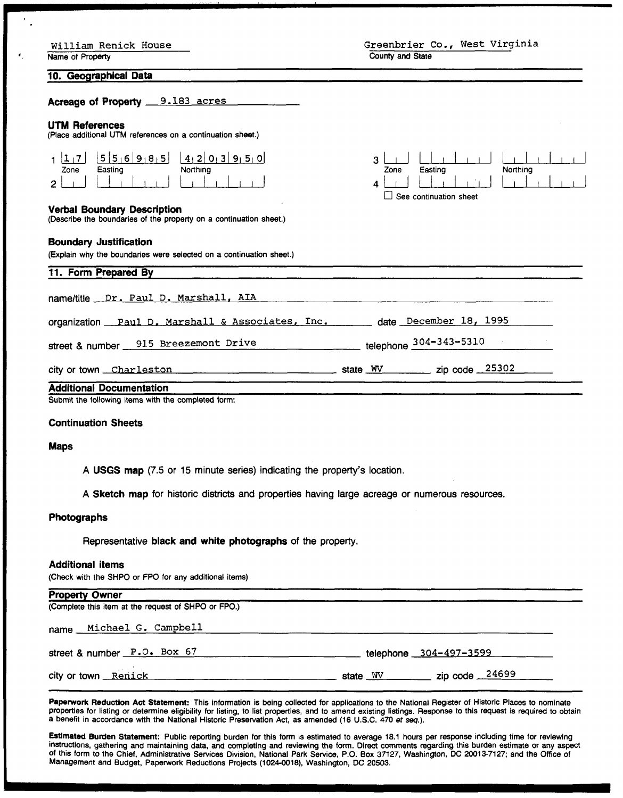| William Renick House |  |
|----------------------|--|
|                      |  |

Name of Property

 $\begin{tabular}{|c|c|c|c|} \hline & & & & & & & \\\hline \hline \textbf{Easting} & & & & \\\hline \end{tabular}$ 

لىنا لىلىنىڭ بىل كەنبار كەنبا بىر ئەنبار كەنبا بەرگە ئەنبار كەنبەت ئالغان ئالغان كەنبەت كەنبەت كەنبەت كەنبەت كە<br>مەنبە

llllllll

**Northing** 

بل<u>ا</u> لـلا Zone

Easting

 $\Box$  See continuation sheet

**10. Geographical Data** 

Acreage of Property 9.183 acres

#### **UTM References**

(Place additional UTM references on a continuation sheet.)

| Zone | Easting | $\left[\begin{array}{c c c c c} 1 & 7 & 5 & 5 & 6 & 9 & 8 & 5 & 4 & 2 & 0 & 3 & 9 & 5 & 0 \end{array}\right]$<br>Northing |
|------|---------|---------------------------------------------------------------------------------------------------------------------------|
|      |         |                                                                                                                           |

#### **Verbal Boundary Description**

(Describe the boundaries of the property on a continuation sheet.)

#### **Boundary Justification**

(Explain why the boundaries were selected on a continuation sheet.)

| 11. Form Prepared By                                                          |                                    |
|-------------------------------------------------------------------------------|------------------------------------|
| name/title __ Dr. Paul D. Marshall, AIA                                       |                                    |
| organization Paul D. Marshall & Associates, Inc. _____ date December 18, 1995 |                                    |
| street & number 915 Breezemont Drive                                          | telephone 304-343-5310             |
| city or town Charleston                                                       | state WV _________ zip code _25302 |
| <b>Additional Documentation</b>                                               |                                    |

Submit the following items with the completed form:

#### **Continuation Sheets**

#### **Maps**

**A USGS map (7.5** or **15** minute series) indicating the property's location.

**A Sketch map** for historic districts and properties having large acreage or numerous resources.

#### **Photographs**

Representative **black and white photographs** of the property.

#### **Additional items**

(Check with the SHPO or FPO for any additional items)

| <b>Property Owner</b>                               |                                                 |
|-----------------------------------------------------|-------------------------------------------------|
| (Complete this item at the request of SHPO or FPO.) |                                                 |
| name Michael G. Campbell                            |                                                 |
| street & number P.O. Box 67                         | telephone 304-497-3599                          |
| city or town Renick                                 | state $\frac{WV}{V}$ zip code $\frac{24699}{V}$ |

**Papetwork Reduction Act Statement:** This information is being collected for applications to the National Register of Historic Places to nominate properties for listing or determine eligibility for listing, to list properties, and to amend existing listings. Response to this request is required to obtain a benefit in accordance with the National Historic Preservation Act, as amended (16 U.S.C. 470 **et seq.).** 

**Estimated Burden Statement:** Public reporting burden for this form is estimated to average 18.1 hours per response including time for reviewing instructions, gathering and maintaining data, and completing and reviewing the form. Direct comments regarding this burden estimate or any aspect **of** this form to the Chief, Administrative Services Division, National Park Service, P.O. Box 37127. Washington, DC 20013-7127; and the Office of Management and Budget, Paperwork Reductions Projects (1024-0018), Washington, DC 20503.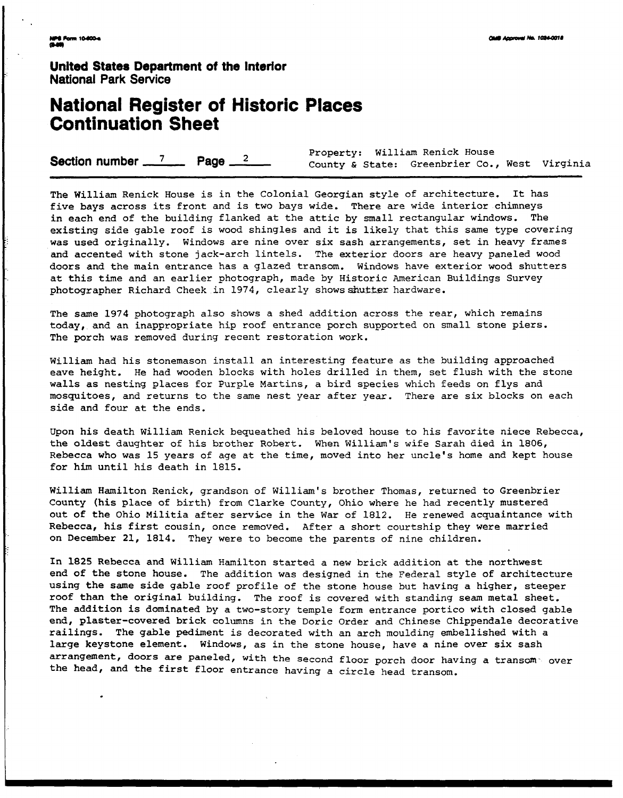**United States Department of the Interior National Park Service** 

# **National Register of Historic Places Continuation Sheet**

|                                                 | Property: William Renick House                |  |  |  |  |  |
|-------------------------------------------------|-----------------------------------------------|--|--|--|--|--|
| Section number $\frac{7}{2}$ Page $\frac{2}{2}$ | County & State: Greenbrier Co., West Virginia |  |  |  |  |  |

The William Renick House is in the Colonial Georgian style of architecture. It has five bays across its front and is two bays wide. There are wide interior chimneys<br>in each end of the building flanked at the attic by small rectangular windows. The in each end of the building flanked at the attic by small rectangular windows. existing side gable roof is wood shingles and it is likely that this same type covering was used originally. Windows are nine over six sash arrangements, set in heavy frames and accented with stone jack-arch lintels. The exterior doors are heavy paneled wood doors and the main entrance has a glazed transom. Windows have exterior wood shutters at this time and an earlier photograph, made by Historic American Buildings Survey photographer Richard Cheek in 1974, clearly showsshutter hardware.

The same 1974 photograph also shows a shed addition across the rear, which remains today, and an inappropriate hip roof entrance porch supported on small stone piers. The porch was removed during recent restoration work.

William had his stonemason install an interesting feature as the building approached eave height. He had wooden blocks with holes drilled in them, set flush with the stone walls as nesting places for Purple Martins, a bird species which feeds on flys and mosquitoes, and returns to the same nest year after year. There are six blocks on each side and four at the ends.

Upon his death William Renick bequeathed his beloved house to his favorite niece Rebecca, the oldest daughter of his brother Robert. When William's wife Sarah died in 1806, Rebecca who was 15 years of age at the time, moved into her uncle's home and kept house for him until his death in 1815.

William Hamilton Renick, grandson of William's brother Thomas, returned to Greenbrier County (his place of birth) from Clarke County, Ohio where he had recently mustered out of the Ohio Militia after service in the War of 1812. He renewed acquaintance with Rebecca, his first cousin, once removed. After a short courtship they were married on December 21, 1814. They were to become the parents of nine children.

In 1825 Rebecca and William Hamilton started a new brick addition at the northwest end of the stone house. The addition was designed in the Federal style of architecture using the same side gable roof profile of the stone house but having a higher, steeper roof than the original building. The roof is covered with standing seam metal sheet. The addition is dominated by a two-story temple form entrance portico with closed gable end, plaster-covered **brick** columns in the Doric Order and Chinese chippendale decorative railings. The gable pediment is decorated with an arch moulding embellished with a large keystone element. Windows, as in the stone house, have a nine over six sash arrangement, doors **are** paneled, with the second floor porch door having a transom- over the head, and the first floor entrance having a circle head transom.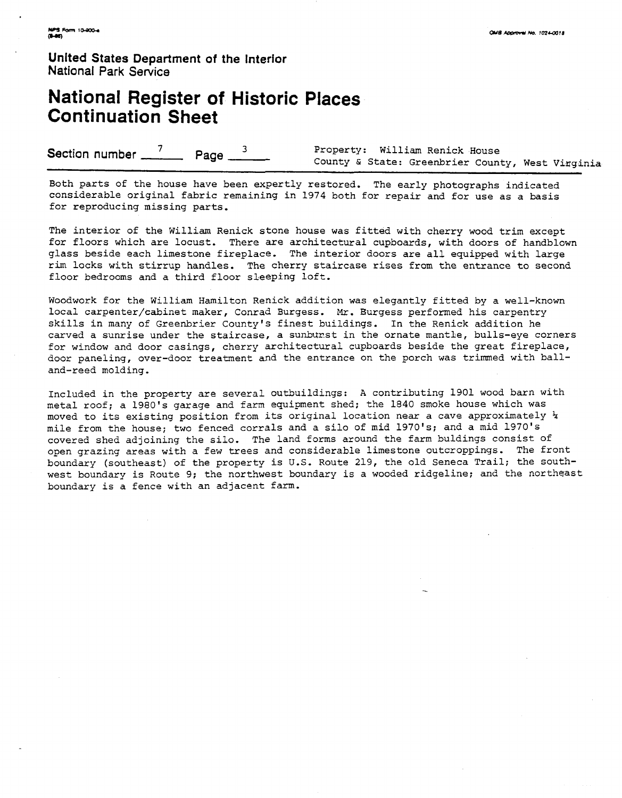**United States Department of the Interior National Park Service** 

# **National Register of Historic Places Continuation Sheet**

**Section number 7 Page 3 Property: William Renick House** County & State: Greenbrier County, West Vinginia

Both parts of the house have been expertly restored. The early photographs indicated considerable original fabric remaining in 1974 both for repair and for use as a basis for reproducing missing parts.

The interior of the William Renick stone house was fitted with cherry wood trim except for floors which are locust. There are architectural cupboards, with doors of handblown glass beside each limestone fireplace. The interior doors are all equipped with large rim locks with stirrup handles. The cherry staircase rises from the entrance to second floor bedrooms and a third floor sleeping loft.

Woodwork for the William Hamilton Renick addition was elegantly fitted by a well-known local carpenter/cabinet maker, Conrad Burgess. *Mr.* Burgess performed his carpentry skills in many of Greenbrier County's finest buildings. In the Renick addition he carved a sunrise under the staircase, a sunburst in the ornate mantle, bulls-eye corners for window and door casings, cherry architectural cupboards beside the great fireplace, door paneling, over-door treatment and the entrance on the porch was trimmed with balland-reed molding.

Included in the property are several outbuildings: A contributing 1901 wood barn with metal roof; a 1980's garage and farm equipment shed; the 1840 smoke house which was moved to its existing position from its original location near a cave approximately % mile from the house; two fenced corrals and a silo of mid 1970's; and a mid 1970's covered shed adjoining the silo. The land forms around the farm buldings consist of open grazing areas with a few trees and considerable limestone outcroppings. The front boundary (southeast) of the property is **U.S.** Route 219, the old Seneca Trail; the southwest boundary is Route 9; the northwest boundary is a wooded ridgeline; and the northeast boundary is a fence with an adjacent farm.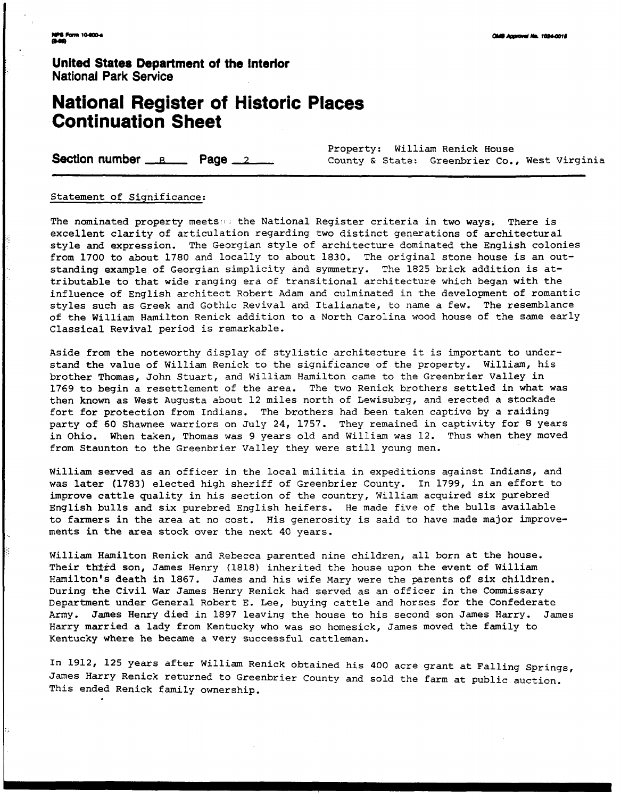**United States Department of the lnterlor National Park Service** 

# **National Register of Historic Places Continuation Sheet Section number <u>Register</u>** of Historic Places<br> **Continuation Sheet**<br> **Section number <u>Register</u> Page 2** County & State: Greenbrier Co., West Virginia<br> **County & State: Greenbrier Co., West Virginia**

Property: William Renick House

#### Statement of Significance:

The nominated property meets. the National Register criteria in two ways. There is excellent clarity of articulation regarding two distinct generations of architectural style and expression. The Georgian style of architecture dominated the English colonies from 1700 to about 1780 and locally to about 1830. The original stone house is an outstanding example of Georgian simplicity and symmetry. The 1825 brick addition is attributable to that wide ranging era of transitional architecture which began with the influence of English architect Robert Adam and culminated in the development of romantic styles such as Greek and Gothic Revival and Italianate, to name a few. The resemblance of the William Hamilton Renick addition to a North Carolina wood house of the same early Classical Revival period is remarkable.

Aside from the noteworthy display of stylistic architecture it is important to understand the value of William Renick to the significance of the property. William, his brother Thomas, John Stuart, and William Hamilton came to the Greenbrier Valley in 1769 to begin a resettlement of the area. The two Renick brothers settled in what was then known as West Augusta about 12 miles north of Lewisubrg, and erected a stockade fort for protection from Indians. The brothers had been taken captive by a raiding party of 60 Shawnee warriors on July 24, 1757. They remained in captivity for 8 years in Ohio. When taken, Thomas was 9 years old and William was 12. Thus when they moved from Staunton to the Greenbrier Valley they were still young men.

William served as an officer in the local militia in expeditions against Indians, and was later (1783) elected high sheriff of Greenbrier County. In 1799, in an effort to improve cattle quality in his section of the country, William acquired six purebred English bulls and six purebred English heifers. He made five of the bulls available to farmers in the area at no cost. His generosity is said to have made major improvements in the area stock over the next 40 years.

William Hamilton Renick and Rebecca parented nine children, all born at the house. Their third son, James Henry (1818) inherited the house upon the event of William Hamilton's death in 1867. James and his wife Mary were the parents of six children. During the Civil War James Henry Renick had served as an officer in the Commissary Department under General Robert E. Lee, buying cattle and horses for the Confederate **Army.** James Henry died in 1897 leaving the house to his second son James Harry. James Harry married a lady from Kentucky who was so homesick, James moved the family to Kentucky where he became a very successful cattleman.

In 1912, 125 years after William Renick obtained his 400 acre grant at Falling Springs, James Harry Renick returned to Greenbrier County and sold the farm at public auction. This ended Renick family ownership.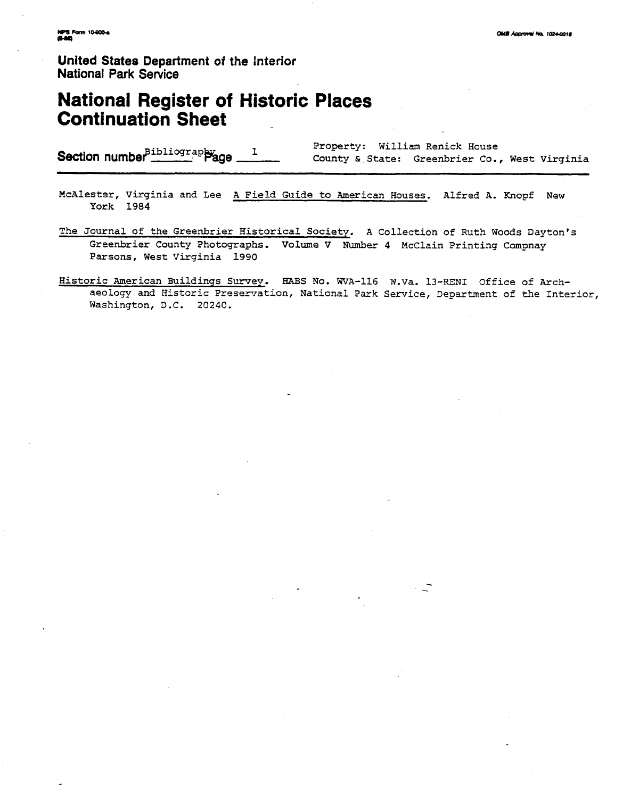**United States Department of the Interior National Park Service** 

# **National Register of Historic Places Continuation Sheet**

|                                                                  |  | Property: William Renick House                |  |  |  |
|------------------------------------------------------------------|--|-----------------------------------------------|--|--|--|
| Section number $\frac{p_{\text{ibliography}}}{p_{\text{age}}-1}$ |  | County & State: Greenbrier Co., West Virginia |  |  |  |

- McAlester, Virginia and Lee A Field Guide to American Houses. Alfred A. Knopf New York 1984
- The Journal of the Greenbrier Historical Society. A Collection of Ruth Woods Dayton's Greenbrier County Photographs. Volume V Number 4 McClain Printing Compnay Parsons, West Virginia 1990
- Historic American Buildings Swey. BABS No. WVA-116 N.Va. 13-RENI Office of **Arch**aeology and Historic Preservation, National Park Service, Department of the Interior, Washington, D.C. 20240.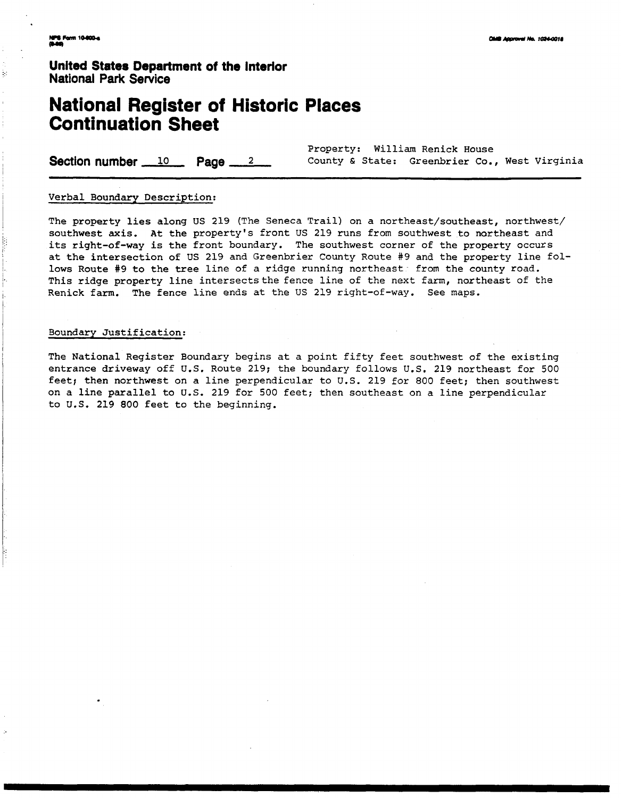ķ

**United States Department of the Interlor National Park Service** 

# **National Register of Historic Places Continuation Sheet**

Property: William Renick House **Section number 10 Page 2 County & State: Greenbrier Co., West Virginia** 

#### Verbal Boundary Description:

The property lies along US 219 (The Seneca Trail) on a northeast/southeast, northwest/ southwest axis. **At** the property's front US 219 runs from southwest to northeast and its right-of-way is the front boundary. The southwest corner of the property occurs at the intersection of US 219 and Greenbrier County Route **#9** and the property line follows Route #9 to the tree line of a ridge running northeast from the county road. This ridge property line intersects the fence line of the next farm, northeast of the Renick farm. The fence line ends at the US 219 right-of-way. See maps.

#### Boundary Justification:

The National Register Boundary begins at a point fifty feet southwest of the existing entrance driveway off U.S. Route 219; the boundary follows U.S. 219 northeast for 500 feet; then northwest on a line perpendicular to U.S. 219 for 800 feet; then southwest on a line parallel to U.S. 219 for 500 feet; then southeast on a line perpendicular to U.S. 219 800 feet to the beginning.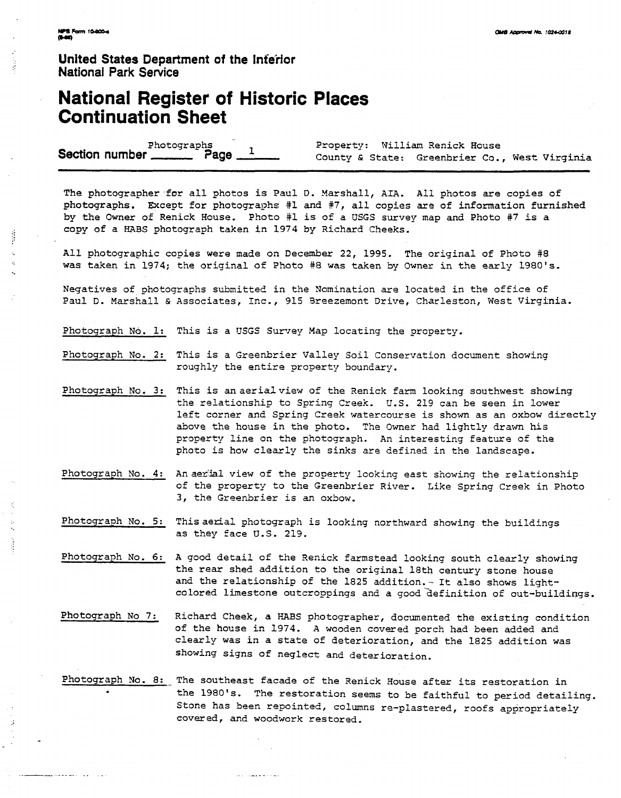**Unlted States Department of the inferior National Park Service** 

## **National Register of Historic Places Continuation Sheet**

Photographs Property: William Renick House<br>County & State: Greenbrier Co.

County & State: Greenbrier Co., West Virginia

The photographer for all photos is Paul D. Marshall, AIA. All photos are copies of photographs. Except for photographs #1 and #7, all copies are of information furnished by the Owner of Renick House. Photo #1 is of a USGS survey map and Photo #7 is a copy of a HABS photograph taken in 1974 by Richard Cheeks.

All photographic copies were made on December 22, 1995. The original of Photo **#8**  was taken in 1974; the original of Photo **\*8** was taken by Owner in the early 1980's.

Negatives of photographs submitted in the Nomination are located in the office of Paul D. Marshall & Associates, Inc., 915 Sreezemont Drive, Charleston, West Virginia.

Photograph **Nd.** 1: This is a USGS Survey Map locating the property.

Photograph No. 2: This is a Greenbrier Valley Soil Conservation document showing roughly the entire property boundary.

- Photograph No. **3:** This is anaerialview of the Renick farm looking southwest showing the relationship to Spring Creek. U.S. 219 can be seen in lower left corner and Spring Creek watercourse is shown as an oxbow directly above the house in the photo. The Owner had lightly drawn his property line on the photograph. An interesting feature of the photo is how clearly the sinks are defined in the landscape.
- Photograph No. 4: An aerial view of the property looking east showing the relationship of the property to the Greenbrier River. Like Spring Creek in Photo **3,** the Greenbrier is an oxbow.

Photograph No. 5: This aerial photograph is looking northward showing the buildings as they face U.S. 219.

- Photograph No. 6: A good detail of the Renick farmstead looking south clearly showing the rear shed addition to the original 18th century stone house and the relationship of the 1825 addition. - It also shows lightcolored limestone outcroppings and a good-definition of out-buildiqgs.
- Photograph No 7: Richard Cheek, a HABS photographer, documented the existing condition of the house in 1974. **A** wooden covered porch had been added and clearly was in a state of deterioration, and the 1825 addition was showing signs of neglect and deterioration.
- Photograph No. 8: The southeast facade of the Renick House after its restoration in the 1980's. The restoration seems to be faithful to period detailing. Stone has been repointed, columns re-plastered, roofs appropriately covered, and woodwork restored.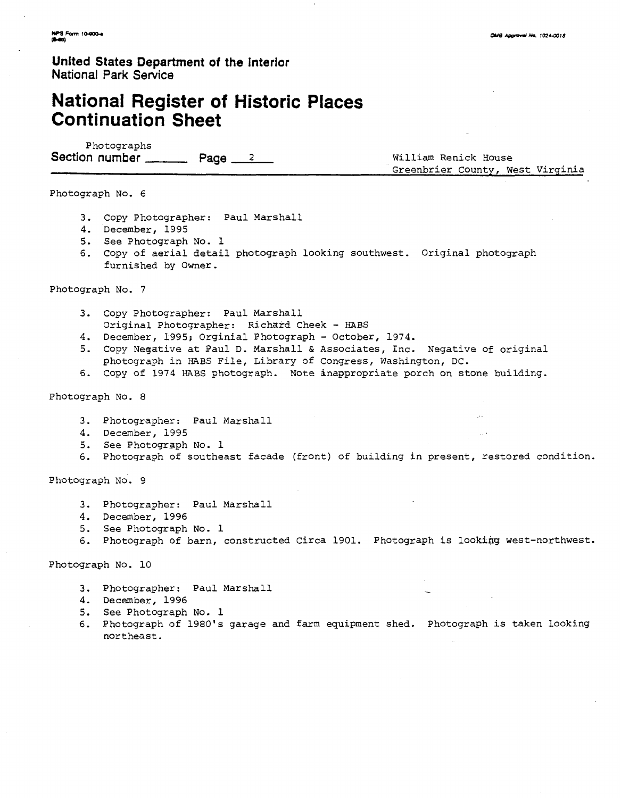**United States Department of the Interior National Park Service** 

# **National Register of Historic Places Continuation Sheet**

Photographs Section number **Page 2 Page 12** William Renick House

Greenbrier County, West Virginia

Photograph No. 6

- **3.** Copy Photographer: Paul Marshall
- 4. December, 1995
- 5. See Photograph No. **1**
- 6. Copy of aerial detail photograph looking southwest. Original photograph furnished by Owner.

Photograph No. 7

- **3.** Copy Photographer: Paul Marshall Original Photographer: Richard Cheek - HABS
- 4. December, 1995; Orginial Photograph October, 1974.
- 5. Copy Negative at Paul D. Marshall & Associates, Inc. Negative of original photograph in HABS File, Library of Congress, Washington, DC.
- 6. Copy of 1974 **HABS** photograph. Note inappropriate porch on stone building.

Photograph No. 8

- **3.** Photographer: Paul Marshall
- 4. December, 1995
- 5. See Photograph No. 1
- 6. Photograph of southeast facade (front) of building in present, restored condition.

Photograph No. 9

- 3. Photographer: Paul Marshall
- 4. December, 1996
- 5. See Photograph No. 1
- 6. Photograph of barn, constructed Circa 1901. Photograph is looking west-northwest.

Photograph No. 10

- 3. Photographer: Paul Marshall
- 4. December, 1996
- 5. See Photograph No. **1**
- 6. Photograph of 1980's garage and farm equipment shed. Photograph is taken looking northeast.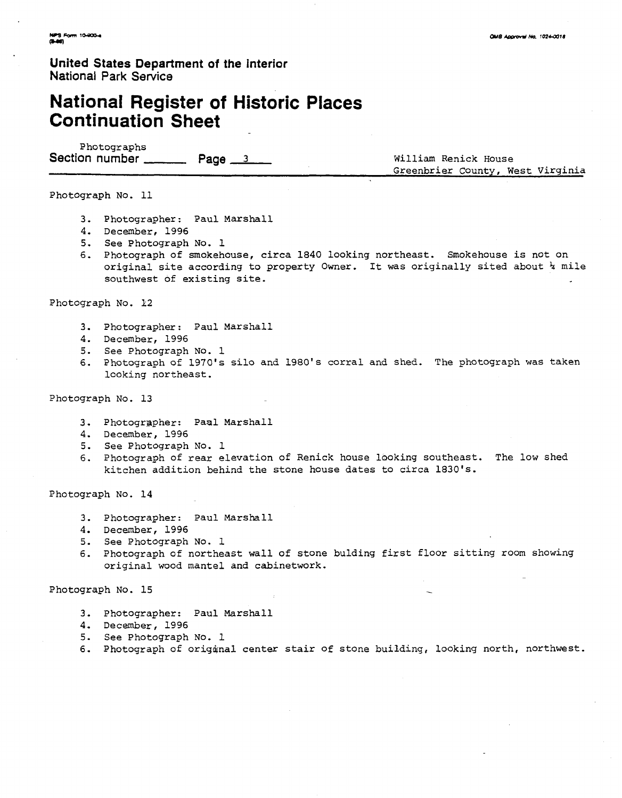**United States Department of the interior National Park Sewice** 

# **National Register of Historic Places Continuation Sheet**

Photographs Section number Page 3 Reserve Milliam Renick House

Greenbrier County, West Virginia

Photograph No. 11

- 3. Photographer : Paul Marshall
- 4. December, 1996
- 5. See Photograph No. 1
- 6, Photograph of smokehouse, circa 1840 looking northeast. Smokehouse is not on original site according to property Owner. It was originally sited about % mile southwest of existing site.

Photograph No. **12** 

- **3.** Photographer : Paul Marshall
- 4. December, 1996
- 5. See Photograph No. 1
- 6. Photograph of 1970's silo and 1980's corral and shed. The photograph was taken looking northeast.

Photograph No. 13

- 3. Photographer: Paal Marshall
- 4. December, 1996
- 5. See Photograph No. 1
- 6. Photograph of rear elevation of Renick house looking southeast. The low shed kitchen addition behind the stone house dates to circa 1830's.

Photograph No. 14

- **3.** Photographer: Paul Marshall
- 4. December, 1996
- 5. See Photograph No. 1
- 6. Photograph of northeast wall of stone bulding first floor sitting room showing original wood mantel and cabinetwork.

Photograph No. 15

- **3.** Photographer: Paul Marshall
- 4. December, 1996
- 5. See Photograph No. 1
- 6. Photograph of origanal center stair of stone building, looking north, northwest.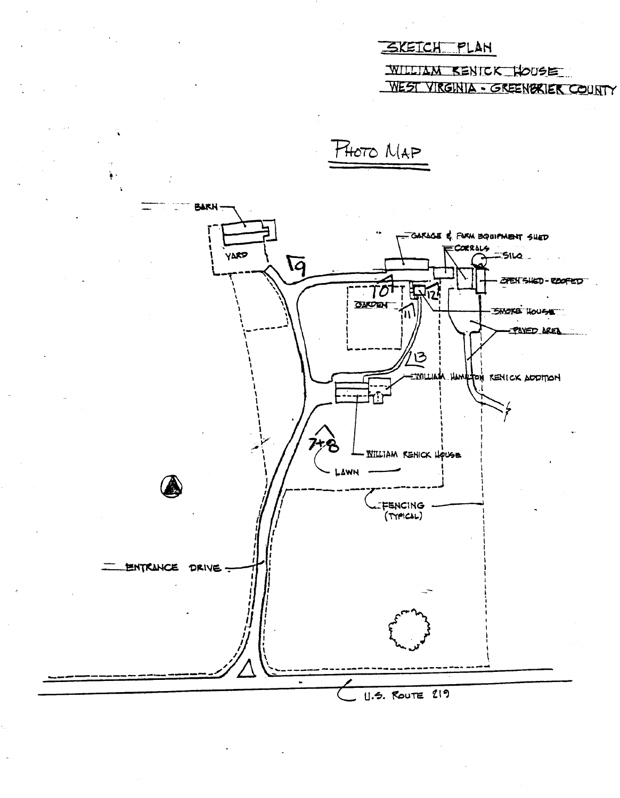## SKEICH PLAN

WILLIAM KENICK HOUSE WEST VIRGINIA - GREENBRIER COUNTY



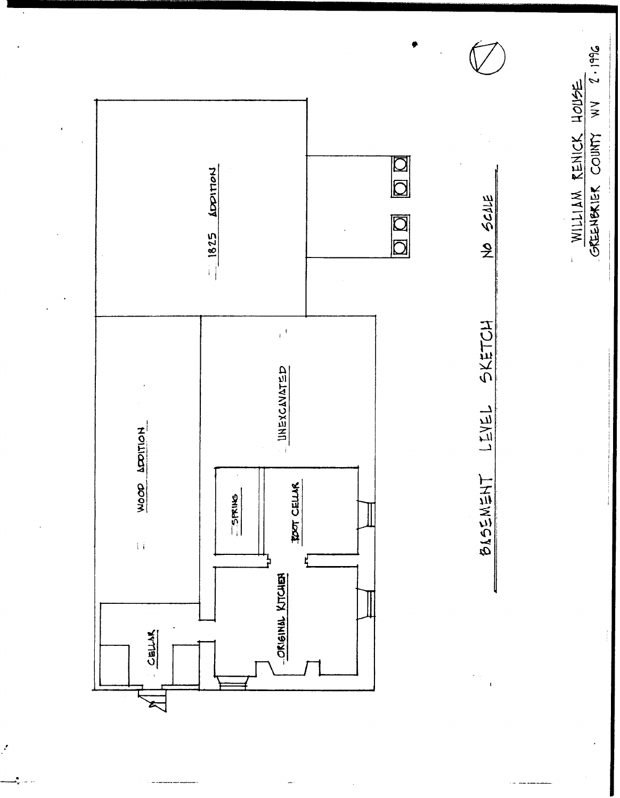

z  $\Box$ 

 $\cdot$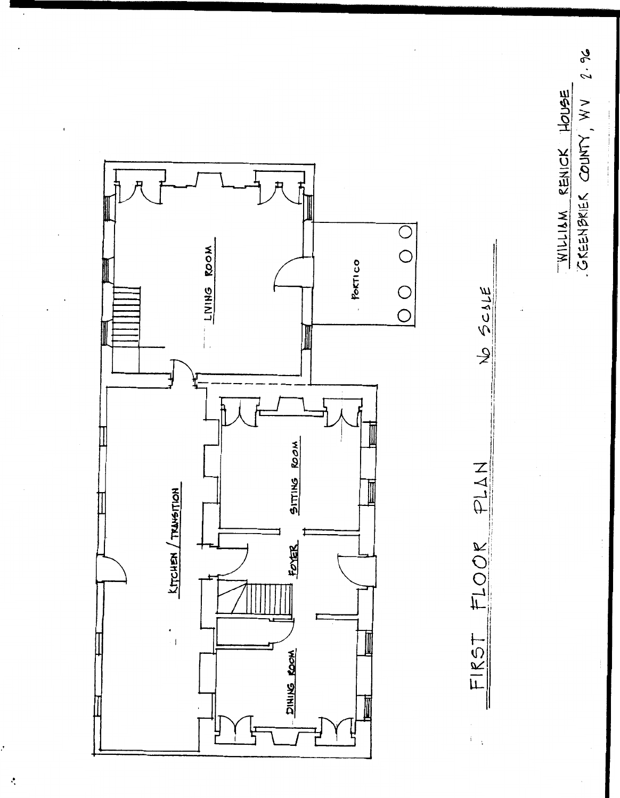

No SCALE

FLOOK PLAN

FIRST



 $\ddot{\cdot}$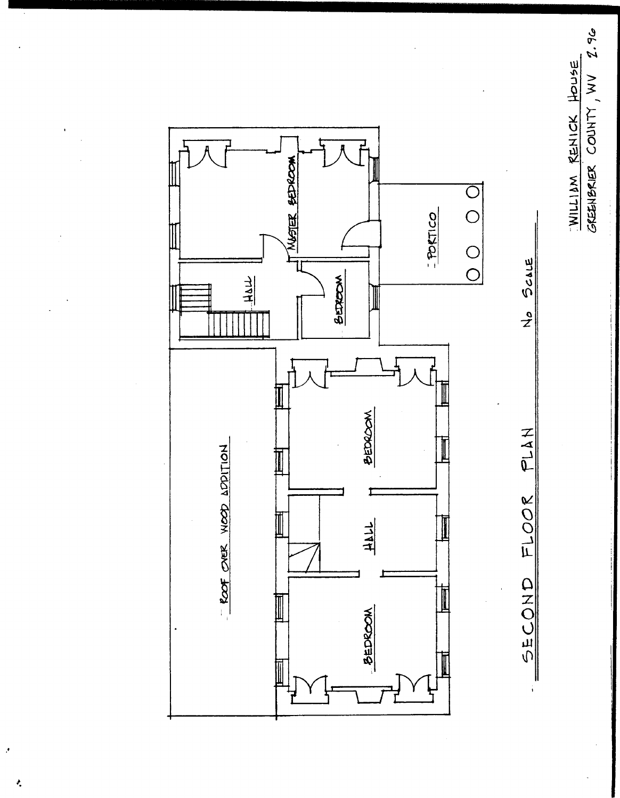WILLIAM RENICK HOUSE<br>GREENBRIER COUNTY, WV 2.96



ł,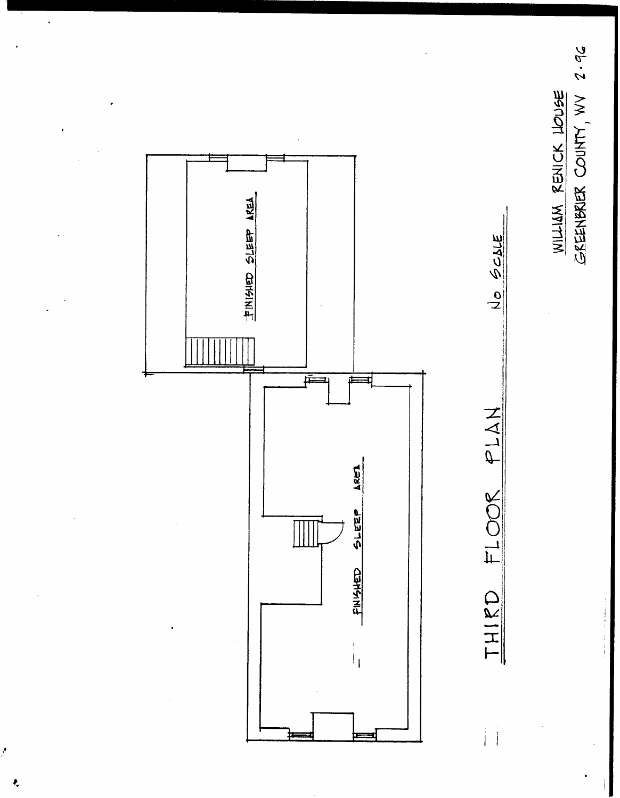# WILLIAM RENICK LOUSE<br>GEENBRIER COUNTY, WV 2.96

No SCALE



Ą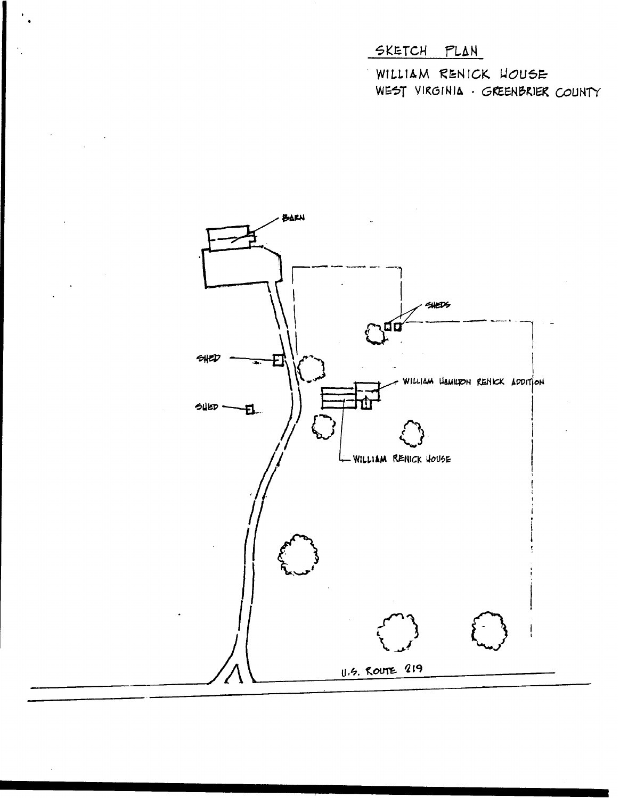# SKETCH PLAN

WILLIAM RENICK HOUSE WEST VIRGINIA · GREENBRIER COUNTY

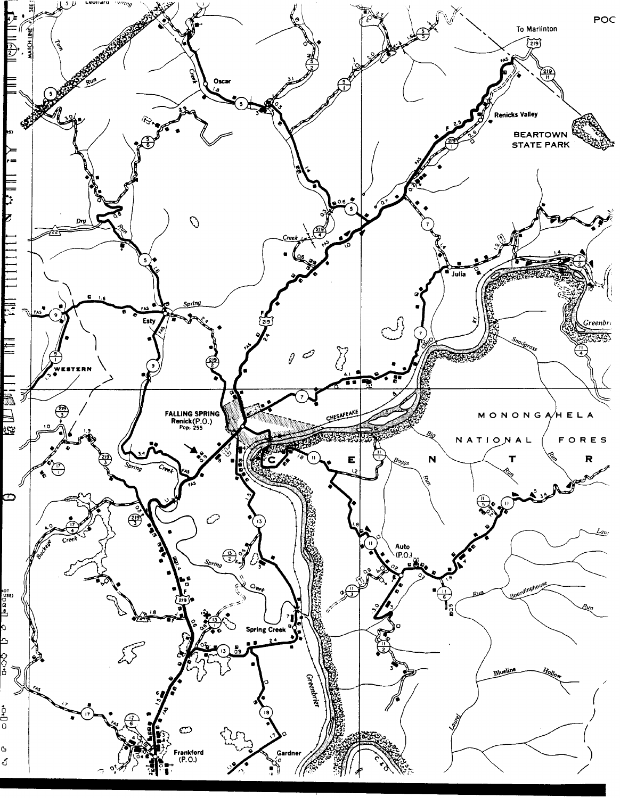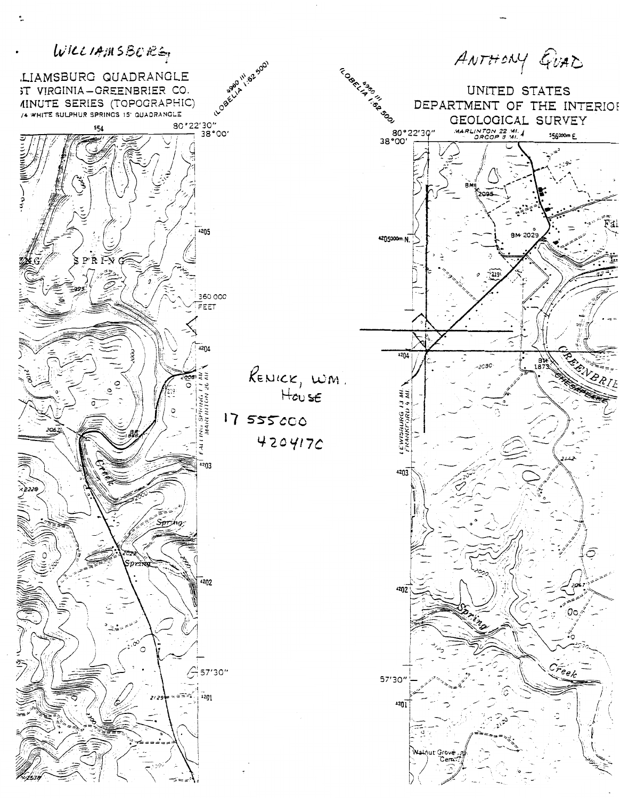

 $\ddot{\phantom{a}}$